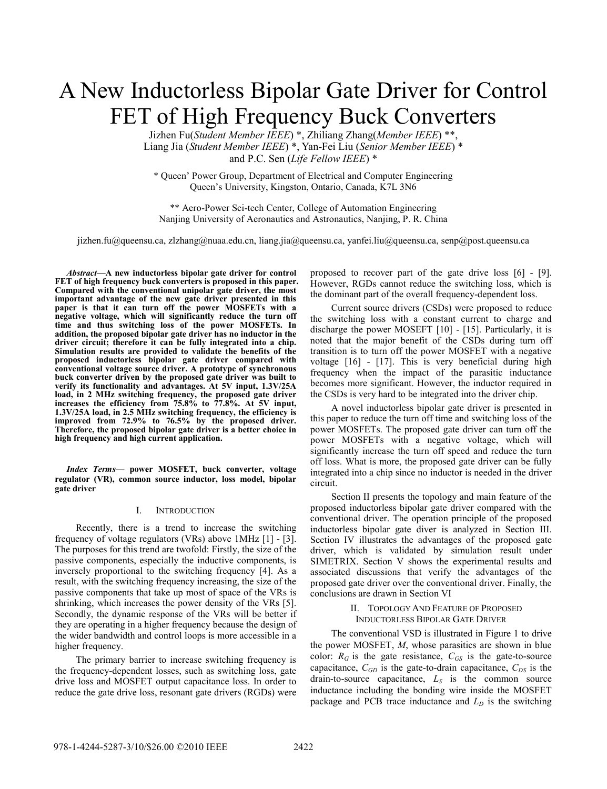# A New Inductorless Bipolar Gate Driver for Control FET of High Frequency Buck Converters

Jizhen Fu(*Student Member IEEE*) \*, Zhiliang Zhang(*Member IEEE*) \*\*, Liang Jia (*Student Member IEEE*) \*, Yan-Fei Liu (*Senior Member IEEE*) \* and P.C. Sen (*Life Fellow IEEE*) \*

\* Queen' Power Group, Department of Electrical and Computer Engineering Queen's University, Kingston, Ontario, Canada, K7L 3N6

\*\* Aero-Power Sci-tech Center, College of Automation Engineering Nanjing University of Aeronautics and Astronautics, Nanjing, P. R. China

jizhen.fu@queensu.ca, zlzhang@nuaa.edu.cn, liang.jia@queensu.ca, yanfei.liu@queensu.ca, senp@post.queensu.ca

*Abstract***—A new inductorless bipolar gate driver for control FET of high frequency buck converters is proposed in this paper. Compared with the conventional unipolar gate driver, the most important advantage of the new gate driver presented in this paper is that it can turn off the power MOSFETs with a negative voltage, which will significantly reduce the turn off time and thus switching loss of the power MOSFETs. In addition, the proposed bipolar gate driver has no inductor in the driver circuit; therefore it can be fully integrated into a chip. Simulation results are provided to validate the benefits of the proposed inductorless bipolar gate driver compared with conventional voltage source driver. A prototype of synchronous buck converter driven by the proposed gate driver was built to verify its functionality and advantages. At 5V input, 1.3V/25A load, in 2 MHz switching frequency, the proposed gate driver increases the efficiency from 75.8% to 77.8%. At 5V input, 1.3V/25A load, in 2.5 MHz switching frequency, the efficiency is improved from 72.9% to 76.5% by the proposed driver. Therefore, the proposed bipolar gate driver is a better choice in high frequency and high current application.** 

*Index Terms***— power MOSFET, buck converter, voltage regulator (VR), common source inductor, loss model, bipolar gate driver** 

### I. INTRODUCTION

Recently, there is a trend to increase the switching frequency of voltage regulators (VRs) above 1MHz [1] - [3]. The purposes for this trend are twofold: Firstly, the size of the passive components, especially the inductive components, is inversely proportional to the switching frequency [4]. As a result, with the switching frequency increasing, the size of the passive components that take up most of space of the VRs is shrinking, which increases the power density of the VRs [5]. Secondly, the dynamic response of the VRs will be better if they are operating in a higher frequency because the design of the wider bandwidth and control loops is more accessible in a higher frequency.

The primary barrier to increase switching frequency is the frequency-dependent losses, such as switching loss, gate drive loss and MOSFET output capacitance loss. In order to reduce the gate drive loss, resonant gate drivers (RGDs) were proposed to recover part of the gate drive loss [6] - [9]. However, RGDs cannot reduce the switching loss, which is the dominant part of the overall frequency-dependent loss.

Current source drivers (CSDs) were proposed to reduce the switching loss with a constant current to charge and discharge the power MOSEFT [10] - [15]. Particularly, it is noted that the major benefit of the CSDs during turn off transition is to turn off the power MOSFET with a negative voltage [16] - [17]. This is very beneficial during high frequency when the impact of the parasitic inductance becomes more significant. However, the inductor required in the CSDs is very hard to be integrated into the driver chip.

A novel inductorless bipolar gate driver is presented in this paper to reduce the turn off time and switching loss of the power MOSFETs. The proposed gate driver can turn off the power MOSFETs with a negative voltage, which will significantly increase the turn off speed and reduce the turn off loss. What is more, the proposed gate driver can be fully integrated into a chip since no inductor is needed in the driver circuit.

Section II presents the topology and main feature of the proposed inductorless bipolar gate driver compared with the conventional driver. The operation principle of the proposed inductorless bipolar gate diver is analyzed in Section III. Section IV illustrates the advantages of the proposed gate driver, which is validated by simulation result under SIMETRIX. Section V shows the experimental results and associated discussions that verify the advantages of the proposed gate driver over the conventional driver. Finally, the conclusions are drawn in Section VI

> II. TOPOLOGY AND FEATURE OF PROPOSED INDUCTORLESS BIPOLAR GATE DRIVER

The conventional VSD is illustrated in Figure 1 to drive the power MOSFET, *M*, whose parasitics are shown in blue color:  $R_G$  is the gate resistance,  $C_{GS}$  is the gate-to-source capacitance,  $C_{GD}$  is the gate-to-drain capacitance,  $C_{DS}$  is the drain-to-source capacitance,  $L<sub>S</sub>$  is the common source inductance including the bonding wire inside the MOSFET package and PCB trace inductance and  $L<sub>D</sub>$  is the switching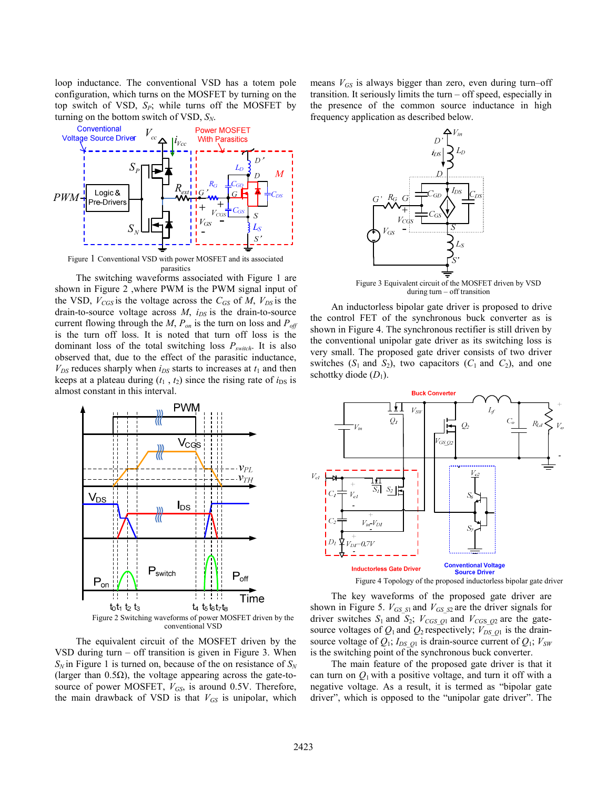loop inductance. The conventional VSD has a totem pole configuration, which turns on the MOSFET by turning on the top switch of VSD,  $S_p$ ; while turns off the MOSFET by



Figure 1 Conventional VSD with power MOSFET and its associated parasitics

The switching waveforms associated with Figure 1 are shown in Figure 2 ,where PWM is the PWM signal input of the VSD,  $V_{CGS}$  is the voltage across the  $C_{GS}$  of *M*,  $V_{DS}$  is the drain-to-source voltage across  $M$ ,  $i_{DS}$  is the drain-to-source current flowing through the  $M$ ,  $P_{on}$  is the turn on loss and  $P_{off}$ is the turn off loss. It is noted that turn off loss is the dominant loss of the total switching loss *Pswitch*. It is also observed that, due to the effect of the parasitic inductance,  $V_{DS}$  reduces sharply when  $i_{DS}$  starts to increases at  $t_1$  and then keeps at a plateau during  $(t_1, t_2)$  since the rising rate of  $i_{DS}$  is almost constant in this interval.



The equivalent circuit of the MOSFET driven by the VSD during turn – off transition is given in Figure 3. When  $S_N$  in Figure 1 is turned on, because of the on resistance of  $S_N$ (larger than  $0.5\Omega$ ), the voltage appearing across the gate-tosource of power MOSFET,  $V_{GS}$ , is around 0.5V. Therefore, the main drawback of VSD is that  $V_{GS}$  is unipolar, which

means  $V_{GS}$  is always bigger than zero, even during turn–off transition. It seriously limits the turn – off speed, especially in the presence of the common source inductance in high frequency application as described below.



Figure 3 Equivalent circuit of the MOSFET driven by VSD during turn – off transition

An inductorless bipolar gate driver is proposed to drive the control FET of the synchronous buck converter as is shown in Figure 4. The synchronous rectifier is still driven by the conventional unipolar gate driver as its switching loss is very small. The proposed gate driver consists of two driver switches  $(S_1 \text{ and } S_2)$ , two capacitors  $(C_1 \text{ and } C_2)$ , and one schottky diode  $(D_1)$ .



The key waveforms of the proposed gate driver are shown in Figure 5.  $V_{GS\_S1}$  and  $V_{GS\_S2}$  are the driver signals for driver switches  $S_1$  and  $S_2$ ;  $V_{CGS_1Q_1}$  and  $V_{CGS_1Q_2}$  are the gatesource voltages of  $Q_1$  and  $Q_2$  respectively;  $V_{DS}$   $_{Q1}$  is the drainsource voltage of  $Q_1$ ;  $I_{DS_0}$  is drain-source current of  $Q_1$ ;  $V_{SW}$ is the switching point of the synchronous buck converter.

The main feature of the proposed gate driver is that it can turn on  $Q_1$  with a positive voltage, and turn it off with a negative voltage. As a result, it is termed as "bipolar gate driver", which is opposed to the "unipolar gate driver". The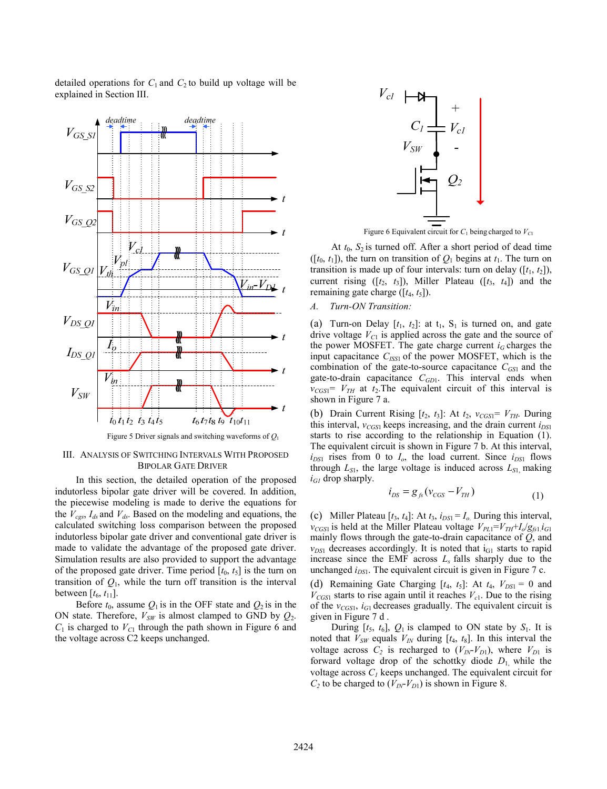detailed operations for  $C_1$  and  $C_2$  to build up voltage will be explained in Section III.



Figure 5 Driver signals and switching waveforms of *Q*<sup>1</sup>

## III. ANALYSIS OF SWITCHING INTERVALS WITH PROPOSED BIPOLAR GATE DRIVER

In this section, the detailed operation of the proposed indutorless bipolar gate driver will be covered. In addition, the piecewise modeling is made to derive the equations for the  $V_{cgs}$ ,  $I_{ds}$  and  $V_{ds}$ . Based on the modeling and equations, the calculated switching loss comparison between the proposed indutorless bipolar gate driver and conventional gate driver is made to validate the advantage of the proposed gate driver. Simulation results are also provided to support the advantage of the proposed gate driver. Time period  $[t_0, t_5]$  is the turn on transition of  $Q_1$ , while the turn off transition is the interval between  $[t_6, t_{11}]$ .

Before  $t_0$ , assume  $Q_1$  is in the OFF state and  $Q_2$  is in the ON state. Therefore,  $V_{SW}$  is almost clamped to GND by  $Q_2$ .  $C_1$  is charged to  $V_{C_1}$  through the path shown in Figure 6 and the voltage across C2 keeps unchanged.



Figure 6 Equivalent circuit for  $C_1$  being charged to  $V_{C_1}$ 

At  $t_0$ ,  $S_2$  is turned off. After a short period of dead time ( $[t_0, t_1]$ ), the turn on transition of  $Q_1$  begins at  $t_1$ . The turn on transition is made up of four intervals: turn on delay  $([t_1, t_2])$ , current rising  $([t_2, t_3])$ , Miller Plateau  $([t_3, t_4])$  and the remaining gate charge  $([t_4, t_5])$ .

*A. Turn-ON Transition:* 

(a) Turn-on Delay  $[t_1, t_2]$ : at  $t_1$ ,  $S_1$  is turned on, and gate drive voltage  $V_{C1}$  is applied across the gate and the source of the power MOSFET. The gate charge current  $i_G$  charges the input capacitance *CISS*1 of the power MOSFET, which is the combination of the gate-to-source capacitance  $C_{GS1}$  and the gate-to-drain capacitance *C<sub>GD1</sub>*. This interval ends when  $v_{CGS1} = V_{TH}$  at  $t_2$ . The equivalent circuit of this interval is shown in Figure 7 a.

(b) Drain Current Rising  $[t_2, t_3]$ : At  $t_2$ ,  $v_{CGS1} = V_{TH}$ . During this interval,  $v_{CGS1}$  keeps increasing, and the drain current  $i_{DS1}$ starts to rise according to the relationship in Equation (1). The equivalent circuit is shown in Figure 7 b. At this interval,  $i_{DS1}$  rises from 0 to  $I_0$ , the load current. Since  $i_{DS1}$  flows through  $L_{S1}$ , the large voltage is induced across  $L_{S1}$ , making  $i_{GI}$  drop sharply.

$$
i_{DS} = g_{fs}(v_{CGS} - V_{TH})
$$
 (1)

(c) Miller Plateau  $[t_3, t_4]$ : At  $t_3$ ,  $i_{DS1} = I_o$ . During this interval,  $v_{CGS1}$  is held at the Miller Plateau voltage  $V_{PL1} = V_{TH} + I_o/g_{fs1}.i_{G1}$ mainly flows through the gate-to-drain capacitance of *Q*, and  $v_{DS1}$  decreases accordingly. It is noted that  $i_{G1}$  starts to rapid increase since the EMF across  $L<sub>s</sub>$  falls sharply due to the unchanged  $i_{DS1}$ . The equivalent circuit is given in Figure 7 c.

(d) Remaining Gate Charging  $[t_4, t_5]$ : At  $t_4$ ,  $V_{DS1} = 0$  and  $V_{CGS1}$  starts to rise again until it reaches  $V_{c1}$ . Due to the rising of the  $v_{CGS1}$ ,  $i_{G1}$  decreases gradually. The equivalent circuit is given in Figure 7 d .

During  $[t_5, t_6]$ ,  $Q_1$  is clamped to ON state by  $S_1$ . It is noted that  $V_{SW}$  equals  $V_{IN}$  during  $[t_4, t_8]$ . In this interval the voltage across  $C_2$  is recharged to  $(V_{IN} - V_{D1})$ , where  $V_{D1}$  is forward voltage drop of the schottky diode *D*1, while the voltage across  $C_l$  keeps unchanged. The equivalent circuit for  $C_2$  to be charged to  $(V_{IN} - V_{D1})$  is shown in Figure 8.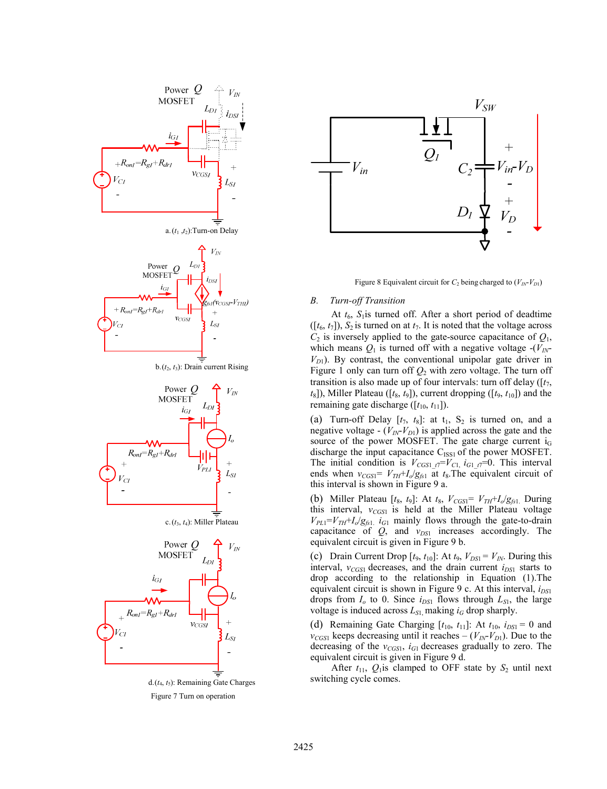

Figure 7 Turn on operation



Figure 8 Equivalent circuit for  $C_2$  being charged to  $(V_{IN} - V_{D1})$ 

## *B. Turn-off Transition*

At  $t_6$ ,  $S_1$  is turned off. After a short period of deadtime  $([t_6, t_7])$ ,  $S_2$  is turned on at  $t_7$ . It is noted that the voltage across  $C_2$  is inversely applied to the gate-source capacitance of  $Q_1$ , which means  $Q_1$  is turned off with a negative voltage  $-(V_{I} + V_{I})$  $V_{D1}$ ). By contrast, the conventional unipolar gate driver in Figure 1 only can turn off *Q*2 with zero voltage. The turn off transition is also made up of four intervals: turn off delay  $(1<sub>7</sub>,$  $t_8$ ]), Miller Plateau ([ $t_8$ ,  $t_9$ ]), current dropping ([ $t_9$ ,  $t_{10}$ ]) and the remaining gate discharge ( $[t_{10}, t_{11}]$ ).

(a) Turn-off Delay  $[t_7, t_8]$ : at  $t_1$ ,  $S_2$  is turned on, and a negative voltage -  $(V_{IN} - V_{D1})$  is applied across the gate and the source of the power MOSFET. The gate charge current i<sub>G</sub> discharge the input capacitance C<sub>ISS1</sub> of the power MOSFET. The initial condition is  $V_{CGS1\_t7} = V_{C1, i_{G1\_t7}} = 0$ . This interval ends when  $v_{CGS1} = V_{TH} + I_o/g_{fs1}$  at  $t_8$ . The equivalent circuit of this interval is shown in Figure 9 a.

(b) Miller Plateau  $[t_8, t_9]$ : At  $t_8$ ,  $V_{CGS1} = V_{TH} + I_o/g_{fs1}$ . During this interval,  $v_{CGS1}$  is held at the Miller Plateau voltage  $V_{PL1} = V_{TH} + I_o/g_{fs1}$ . *i<sub>G1</sub>* mainly flows through the gate-to-drain capacitance of  $\overrightarrow{Q}$ , and  $v_{DS1}$  increases accordingly. The equivalent circuit is given in Figure 9 b.

(c) Drain Current Drop  $[t_9, t_{10}]$ : At  $t_9$ ,  $V_{DS1} = V_{IN}$ . During this interval,  $v_{CGS1}$  decreases, and the drain current  $i_{DS1}$  starts to drop according to the relationship in Equation (1).The equivalent circuit is shown in Figure 9 c. At this interval, *i<sub>DS1</sub>* drops from  $I_0$  to 0. Since  $i_{DS1}$  flows through  $L_{S1}$ , the large voltage is induced across  $L_{S1}$  making  $i_G$  drop sharply.

(d) Remaining Gate Charging  $[t_{10}, t_{11}]$ : At  $t_{10}$ ,  $i_{DS1} = 0$  and  $v_{CGS1}$  keeps decreasing until it reaches –  $(V_{IN} - V_{D1})$ . Due to the decreasing of the  $v_{CGS1}$ ,  $i_{G1}$  decreases gradually to zero. The equivalent circuit is given in Figure 9 d.

After  $t_{11}$ ,  $Q_1$  is clamped to OFF state by  $S_2$  until next switching cycle comes.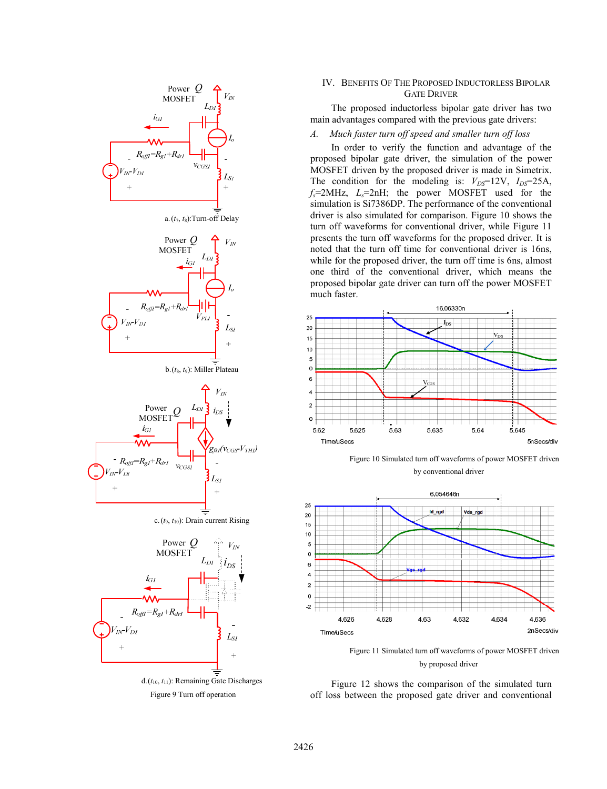

## IV. BENEFITS OF THE PROPOSED INDUCTORLESS BIPOLAR GATE DRIVER

The proposed inductorless bipolar gate driver has two main advantages compared with the previous gate drivers:

## *A. Much faster turn off speed and smaller turn off loss*

In order to verify the function and advantage of the proposed bipolar gate driver, the simulation of the power MOSFET driven by the proposed driver is made in Simetrix. The condition for the modeling is:  $V_{DS}$ =12V,  $I_{DS}$ =25A,  $f_s$ =2MHz,  $L_s$ =2nH; the power MOSFET used for the simulation is Si7386DP. The performance of the conventional driver is also simulated for comparison. Figure 10 shows the turn off waveforms for conventional driver, while Figure 11 presents the turn off waveforms for the proposed driver. It is noted that the turn off time for conventional driver is 16ns, while for the proposed driver, the turn off time is 6ns, almost one third of the conventional driver, which means the proposed bipolar gate driver can turn off the power MOSFET much faster.



Figure 10 Simulated turn off waveforms of power MOSFET driven by conventional driver



Figure 11 Simulated turn off waveforms of power MOSFET driven by proposed driver

Figure 12 shows the comparison of the simulated turn off loss between the proposed gate driver and conventional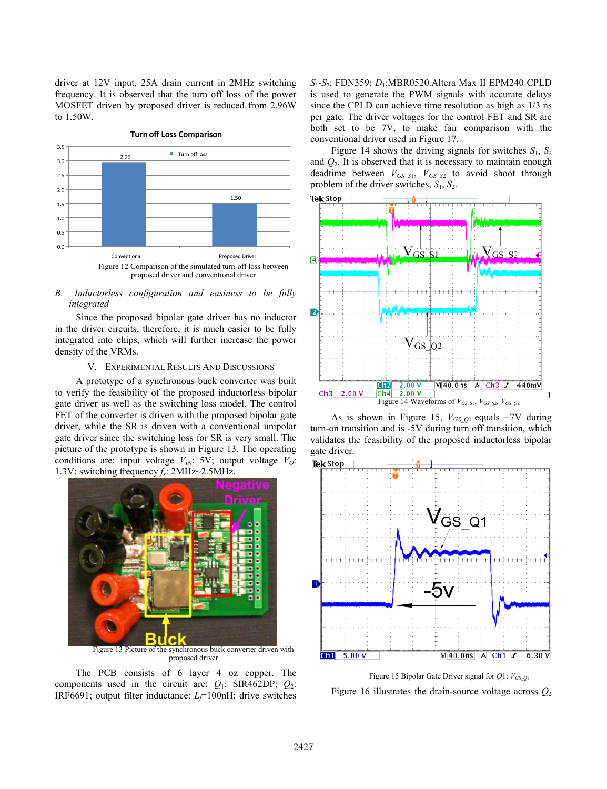driver at 12V input, 25A drain current in 2MHz switching frequency. It is observed that the turn off loss of the power MOSFET driven by proposed driver is reduced from 2.96W to 1.50W.



### **Turn off Loss Comparison**

## *B. Inductorless configuration and easiness to be fully integrated*

Since the proposed bipolar gate driver has no inductor in the driver circuits, therefore, it is much easier to be fully integrated into chips, which will further increase the power density of the VRMs.

#### V. EXPERIMENTAL RESULTS AND DISCUSSIONS

A prototype of a synchronous buck converter was built to verify the feasibility of the proposed inductorless bipolar gate driver as well as the switching loss model. The control FET of the converter is driven with the proposed bipolar gate driver, while the SR is driven with a conventional unipolar gate driver since the switching loss for SR is very small. The picture of the prototype is shown in Figure 13. The operating conditions are: input voltage  $V_{IN}$ : 5V; output voltage  $V_O$ : 1.3V; switching frequency *f<sub>s</sub>*: 2MHz~2.5MHz.



Figure 13 Picture of the synchronous buck converter driven with proposed driver

The PCB consists of 6 layer 4 oz copper. The components used in the circuit are:  $Q_1$ : SIR462DP;  $Q_2$ : IRF6691; output filter inductance:  $L_f$ =100nH; drive switches *S*1-*S*2: FDN359; *D*1:MBR0520.Altera Max II EPM240 CPLD is used to generate the PWM signals with accurate delays since the CPLD can achieve time resolution as high as 1/3 ns per gate. The driver voltages for the control FET and SR are both set to be 7V, to make fair comparison with the conventional driver used in Figure 17.

Figure 14 shows the driving signals for switches  $S_1$ ,  $S_2$ and  $Q_2$ . It is observed that it is necessary to maintain enough deadtime between  $V_{GS}$ <sub>S1</sub>,  $V_{GS}$ <sub>S2</sub> to avoid shoot through problem of the driver switches,  $S_1$ ,  $S_2$ .



As is shown in Figure 15,  $V_{GS\_Q1}$  equals +7V during turn-on transition and is -5V during turn off transition, which validates the feasibility of the proposed inductorless bipolar gate driver.



Figure 15 Bipolar Gate Driver signal for *Q*1:  $V_{GSQ1}$ Figure 16 illustrates the drain-source voltage across  $Q_2$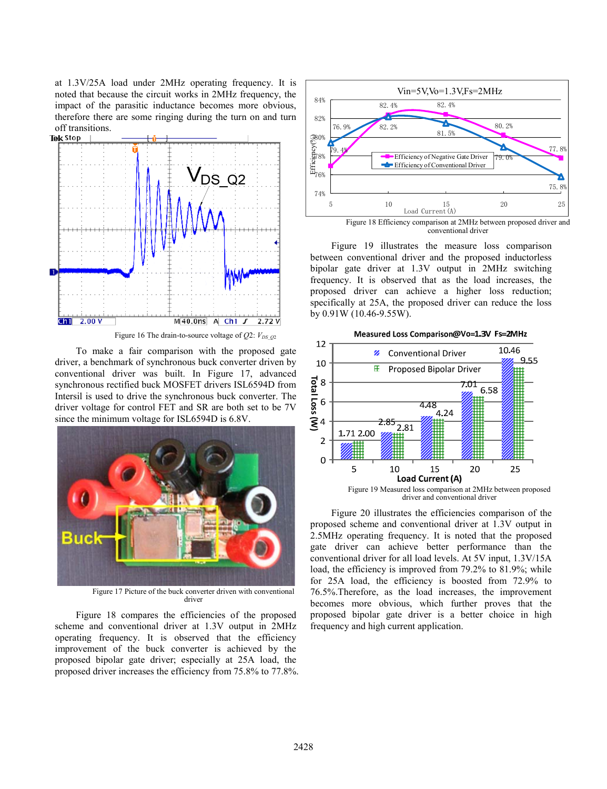at 1.3V/25A load under 2MHz operating frequency. It is noted that because the circuit works in 2MHz frequency, the impact of the parasitic inductance becomes more obvious, therefore there are some ringing during the turn on and turn



To make a fair comparison with the proposed gate driver, a benchmark of synchronous buck converter driven by conventional driver was built. In Figure 17, advanced synchronous rectified buck MOSFET drivers ISL6594D from Intersil is used to drive the synchronous buck converter. The driver voltage for control FET and SR are both set to be 7V since the minimum voltage for ISL6594D is 6.8V.



Figure 17 Picture of the buck converter driven with conventional driver

Figure 18 compares the efficiencies of the proposed scheme and conventional driver at 1.3V output in 2MHz operating frequency. It is observed that the efficiency improvement of the buck converter is achieved by the proposed bipolar gate driver; especially at 25A load, the proposed driver increases the efficiency from 75.8% to 77.8%.



conventional driver

Figure 19 illustrates the measure loss comparison between conventional driver and the proposed inductorless bipolar gate driver at 1.3V output in 2MHz switching frequency. It is observed that as the load increases, the proposed driver can achieve a higher loss reduction; specifically at 25A, the proposed driver can reduce the loss by 0.91W (10.46-9.55W).



Figure 20 illustrates the efficiencies comparison of the proposed scheme and conventional driver at 1.3V output in 2.5MHz operating frequency. It is noted that the proposed gate driver can achieve better performance than the conventional driver for all load levels. At 5V input, 1.3V/15A load, the efficiency is improved from 79.2% to 81.9%; while for 25A load, the efficiency is boosted from 72.9% to 76.5%.Therefore, as the load increases, the improvement becomes more obvious, which further proves that the proposed bipolar gate driver is a better choice in high frequency and high current application.